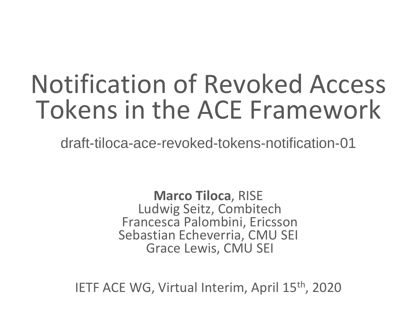# Notification of Revoked Access Tokens in the ACE Framework

draft-tiloca-ace-revoked-tokens-notification-01

**Marco Tiloca**, RISE Ludwig Seitz, Combitech Francesca Palombini, Ericsson Sebastian Echeverria, CMU SEI Grace Lewis, CMU SEI

IETF ACE WG, Virtual Interim, April 15th, 2020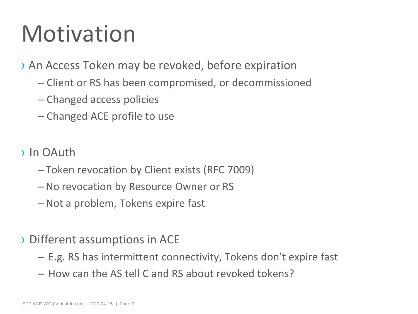# Motivation

› An Access Token may be revoked, before expiration

- Client or RS has been compromised, or decommissioned
- Changed access policies
- Changed ACE profile to use
- › In OAuth
	- Token revocation by Client exists (RFC 7009)
	- –No revocation by Resource Owner or RS
	- –Not a problem, Tokens expire fast
- › Different assumptions in ACE
	- E.g. RS has intermittent connectivity, Tokens don't expire fast
	- How can the AS tell C and RS about revoked tokens?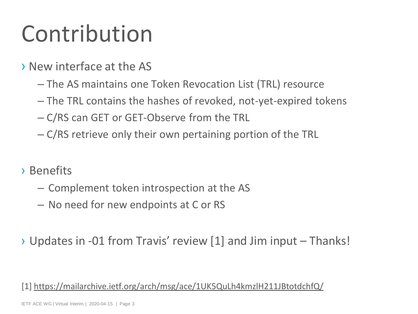# Contribution

- › New interface at the AS
	- The AS maintains one Token Revocation List (TRL) resource
	- The TRL contains the hashes of revoked, not-yet-expired tokens
	- C/RS can GET or GET-Observe from the TRL
	- C/RS retrieve only their own pertaining portion of the TRL
- › Benefits
	- Complement token introspection at the AS
	- No need for new endpoints at C or RS
- › Updates in -01 from Travis' review [1] and Jim input Thanks!

[1]<https://mailarchive.ietf.org/arch/msg/ace/1UK5QuLh4kmzlH211JBtotdchfQ/>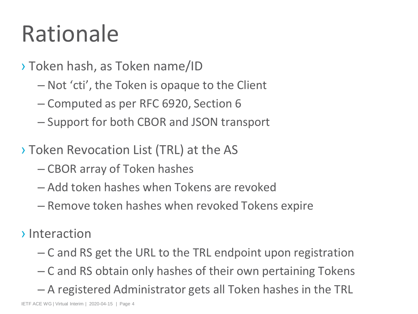# Rationale

- › Token hash, as Token name/ID
	- Not 'cti', the Token is opaque to the Client
	- Computed as per RFC 6920, Section 6
	- Support for both CBOR and JSON transport
- › Token Revocation List (TRL) at the AS
	- CBOR array of Token hashes
	- Add token hashes when Tokens are revoked
	- Remove token hashes when revoked Tokens expire
- › Interaction
	- C and RS get the URL to the TRL endpoint upon registration
	- C and RS obtain only hashes of their own pertaining Tokens
	- A registered Administrator gets all Token hashes in the TRL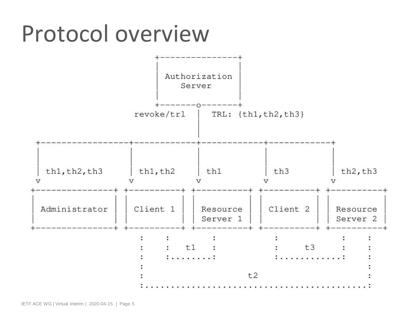### Protocol overview

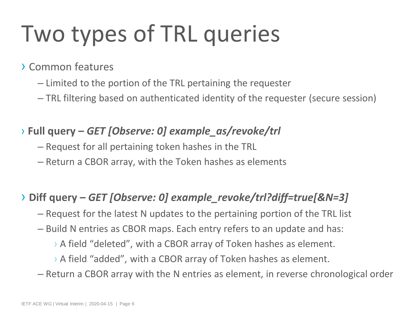# Two types of TRL queries

#### › Common features

- Limited to the portion of the TRL pertaining the requester
- TRL filtering based on authenticated identity of the requester (secure session)

#### › **Full query –** *GET [Observe: 0] example\_as/revoke/trl*

- Request for all pertaining token hashes in the TRL
- Return a CBOR array, with the Token hashes as elements

#### › **Diff query –** *GET [Observe: 0] example\_revoke/trl?diff=true[&N=3]*

- Request for the latest N updates to the pertaining portion of the TRL list
- Build N entries as CBOR maps. Each entry refers to an update and has:
	- › A field "deleted", with a CBOR array of Token hashes as element.
	- › A field "added", with a CBOR array of Token hashes as element.
- Return a CBOR array with the N entries as element, in reverse chronological order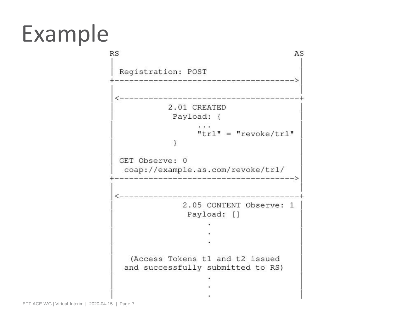# Example

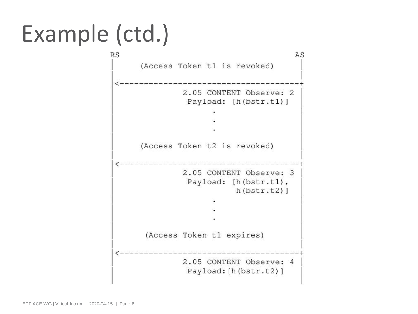# Example (ctd.)

 $RS$ AS (Access Token t1 is revoked) 2.05 CONTENT Observe: 2 Payload: [h(bstr.t1)] (Access Token t2 is revoked) 2.05 CONTENT Observe: 3 Payload: [h(bstr.t1),  $h(bstr.t2)$ ] (Access Token t1 expires) 2.05 CONTENT Observe: 4 Payload: [h (bstr.t2)]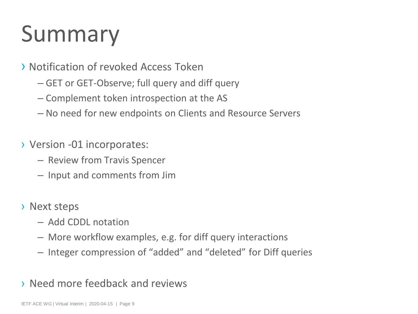# Summary

#### › Notification of revoked Access Token

- GET or GET-Observe; full query and diff query
- Complement token introspection at the AS
- No need for new endpoints on Clients and Resource Servers
- › Version -01 incorporates:
	- Review from Travis Spencer
	- Input and comments from Jim
- › Next steps
	- Add CDDL notation
	- More workflow examples, e.g. for diff query interactions
	- Integer compression of "added" and "deleted" for Diff queries
- › Need more feedback and reviews